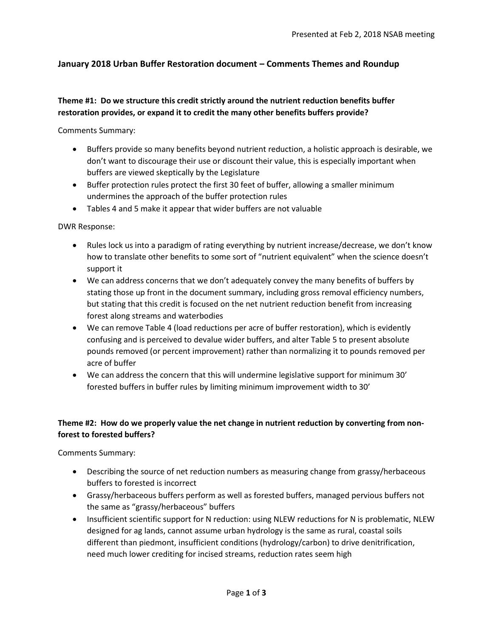# **January 2018 Urban Buffer Restoration document – Comments Themes and Roundup**

### **Theme #1: Do we structure this credit strictly around the nutrient reduction benefits buffer restoration provides, or expand it to credit the many other benefits buffers provide?**

Comments Summary:

- Buffers provide so many benefits beyond nutrient reduction, a holistic approach is desirable, we don't want to discourage their use or discount their value, this is especially important when buffers are viewed skeptically by the Legislature
- Buffer protection rules protect the first 30 feet of buffer, allowing a smaller minimum undermines the approach of the buffer protection rules
- Tables 4 and 5 make it appear that wider buffers are not valuable

#### DWR Response:

- Rules lock us into a paradigm of rating everything by nutrient increase/decrease, we don't know how to translate other benefits to some sort of "nutrient equivalent" when the science doesn't support it
- We can address concerns that we don't adequately convey the many benefits of buffers by stating those up front in the document summary, including gross removal efficiency numbers, but stating that this credit is focused on the net nutrient reduction benefit from increasing forest along streams and waterbodies
- We can remove Table 4 (load reductions per acre of buffer restoration), which is evidently confusing and is perceived to devalue wider buffers, and alter Table 5 to present absolute pounds removed (or percent improvement) rather than normalizing it to pounds removed per acre of buffer
- We can address the concern that this will undermine legislative support for minimum 30' forested buffers in buffer rules by limiting minimum improvement width to 30'

### **Theme #2: How do we properly value the net change in nutrient reduction by converting from nonforest to forested buffers?**

Comments Summary:

- Describing the source of net reduction numbers as measuring change from grassy/herbaceous buffers to forested is incorrect
- Grassy/herbaceous buffers perform as well as forested buffers, managed pervious buffers not the same as "grassy/herbaceous" buffers
- Insufficient scientific support for N reduction: using NLEW reductions for N is problematic, NLEW designed for ag lands, cannot assume urban hydrology is the same as rural, coastal soils different than piedmont, insufficient conditions (hydrology/carbon) to drive denitrification, need much lower crediting for incised streams, reduction rates seem high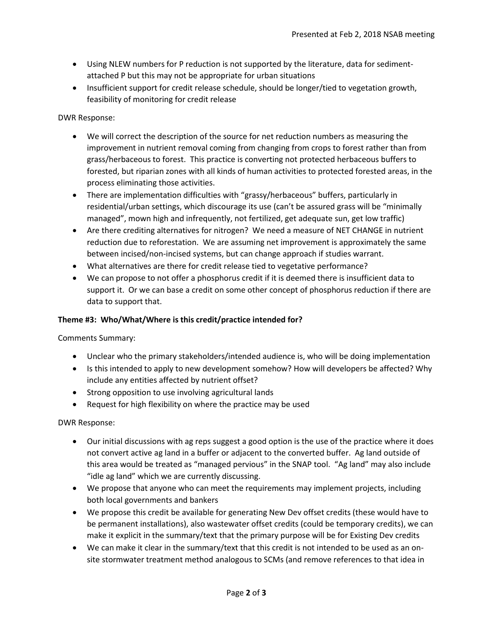- Using NLEW numbers for P reduction is not supported by the literature, data for sedimentattached P but this may not be appropriate for urban situations
- Insufficient support for credit release schedule, should be longer/tied to vegetation growth, feasibility of monitoring for credit release

## DWR Response:

- We will correct the description of the source for net reduction numbers as measuring the improvement in nutrient removal coming from changing from crops to forest rather than from grass/herbaceous to forest. This practice is converting not protected herbaceous buffers to forested, but riparian zones with all kinds of human activities to protected forested areas, in the process eliminating those activities.
- There are implementation difficulties with "grassy/herbaceous" buffers, particularly in residential/urban settings, which discourage its use (can't be assured grass will be "minimally managed", mown high and infrequently, not fertilized, get adequate sun, get low traffic)
- Are there crediting alternatives for nitrogen? We need a measure of NET CHANGE in nutrient reduction due to reforestation. We are assuming net improvement is approximately the same between incised/non-incised systems, but can change approach if studies warrant.
- What alternatives are there for credit release tied to vegetative performance?
- We can propose to not offer a phosphorus credit if it is deemed there is insufficient data to support it. Or we can base a credit on some other concept of phosphorus reduction if there are data to support that.

### **Theme #3: Who/What/Where is this credit/practice intended for?**

Comments Summary:

- Unclear who the primary stakeholders/intended audience is, who will be doing implementation
- Is this intended to apply to new development somehow? How will developers be affected? Why include any entities affected by nutrient offset?
- Strong opposition to use involving agricultural lands
- Request for high flexibility on where the practice may be used

### DWR Response:

- Our initial discussions with ag reps suggest a good option is the use of the practice where it does not convert active ag land in a buffer or adjacent to the converted buffer. Ag land outside of this area would be treated as "managed pervious" in the SNAP tool. "Ag land" may also include "idle ag land" which we are currently discussing.
- We propose that anyone who can meet the requirements may implement projects, including both local governments and bankers
- We propose this credit be available for generating New Dev offset credits (these would have to be permanent installations), also wastewater offset credits (could be temporary credits), we can make it explicit in the summary/text that the primary purpose will be for Existing Dev credits
- We can make it clear in the summary/text that this credit is not intended to be used as an onsite stormwater treatment method analogous to SCMs (and remove references to that idea in